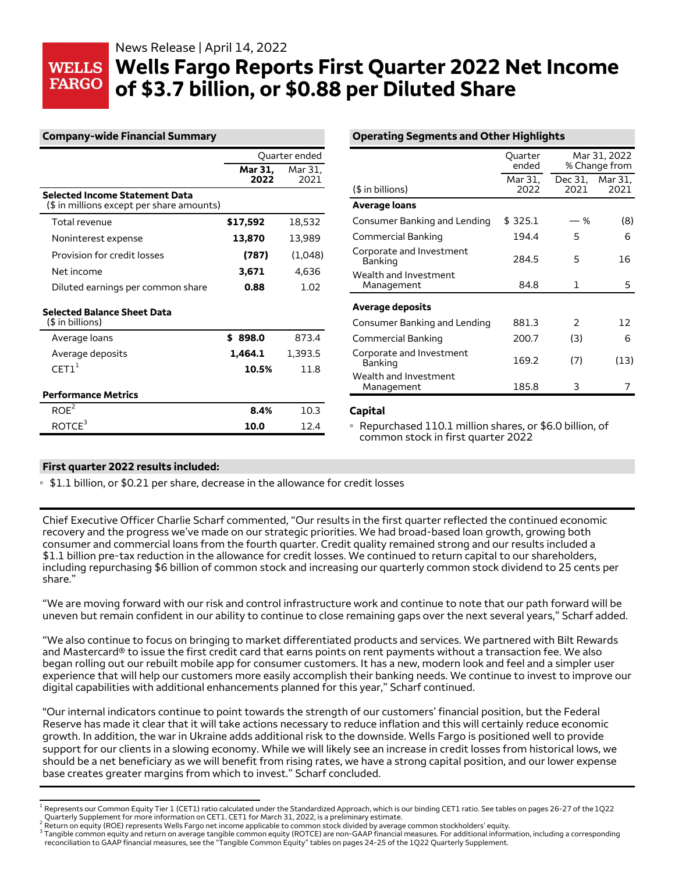# News Release | April 14, 2022

**Wells Fargo Reports First Quarter 2022 Net Income FARGO of \$3.7 billion, or \$0.88 per Diluted Share**

## **Company-wide Financial Summary** *Company-wide Financial Summary**Operating Segments and Other Highlights*

|                                                                                    |                    | Quarter ended |                                                          | <b>Ouarter</b>  |                 | Mar 31, 2022    |
|------------------------------------------------------------------------------------|--------------------|---------------|----------------------------------------------------------|-----------------|-----------------|-----------------|
|                                                                                    | Mar 31,<br>Mar 31, |               | ended                                                    |                 | % Change from   |                 |
|                                                                                    | 2022               | 2021          | (\$ in billions)                                         | Mar 31,<br>2022 | Dec 31,<br>2021 | Mar 31,<br>2021 |
| <b>Selected Income Statement Data</b><br>(\$ in millions except per share amounts) |                    |               | <b>Average loans</b>                                     |                 |                 |                 |
| Total revenue                                                                      | \$17,592           | 18,532        | Consumer Banking and Lending                             | \$325.1         | — %             | (8)             |
| Noninterest expense                                                                | 13,870             | 13,989        | <b>Commercial Banking</b>                                | 194.4           | 5               | 6               |
| Provision for credit losses                                                        | (787)              | (1,048)       | Corporate and Investment<br><b>Banking</b>               | 284.5           | 5               | 16              |
| Net income                                                                         | 3,671              | 4,636         | Wealth and Investment                                    |                 |                 |                 |
| Diluted earnings per common share                                                  | 0.88               | 1.02          | Management                                               | 84.8            | 1               | 5               |
| <b>Selected Balance Sheet Data</b>                                                 |                    |               | <b>Average deposits</b>                                  |                 |                 |                 |
| (\$ in billions)                                                                   |                    |               | Consumer Banking and Lending                             | 881.3           | 2               | 12              |
| Average loans                                                                      | \$898.0            | 873.4         | <b>Commercial Banking</b>                                | 200.7           | (3)             | 6               |
| Average deposits                                                                   | 1,464.1            | 1,393.5       | Corporate and Investment                                 |                 |                 |                 |
| CET1 <sup>1</sup>                                                                  | 10.5%              | 11.8          | <b>Banking</b>                                           | 169.2           | (7)             | (13)            |
|                                                                                    |                    |               | Wealth and Investment<br>Management                      | 185.8           | 3               | 7               |
| <b>Performance Metrics</b>                                                         |                    |               |                                                          |                 |                 |                 |
| ROE <sup>2</sup>                                                                   | 8.4%               | 10.3          | Capital                                                  |                 |                 |                 |
| ROTCE <sup>3</sup>                                                                 | 10.0               | 12.4          | ∘ Repurchased 110.1 million shares, or \$6.0 billion, of |                 |                 |                 |
|                                                                                    |                    |               | common stock in first quarter 2022                       |                 |                 |                 |

| ompany-wide Financial Summary.                                              |          |               | Operating Segments and Other Highlights    |                 |                 |                 |  |  |  |
|-----------------------------------------------------------------------------|----------|---------------|--------------------------------------------|-----------------|-----------------|-----------------|--|--|--|
|                                                                             |          | Quarter ended |                                            | Quarter         |                 | Mar 31, 2022    |  |  |  |
|                                                                             | Mar 31,  | Mar 31,       |                                            | ended           |                 | % Change from   |  |  |  |
|                                                                             | 2022     | 2021          | (\$ in billions)                           | Mar 31,<br>2022 | Dec 31,<br>2021 | Mar 31,<br>2021 |  |  |  |
| ielected Income Statement Data<br>(\$ in millions except per share amounts) |          |               | <b>Average loans</b>                       |                 |                 |                 |  |  |  |
| Total revenue                                                               | \$17,592 | 18,532        | Consumer Banking and Lending               | \$325.1         | — %             | (8)             |  |  |  |
| Noninterest expense                                                         | 13,870   | 13,989        | Commercial Banking                         | 194.4           | 5               | 6               |  |  |  |
| Provision for credit losses                                                 | (787)    | (1,048)       | Corporate and Investment<br><b>Banking</b> | 284.5           | 5               | 16              |  |  |  |
| Net income                                                                  | 3,671    | 4,636         | Wealth and Investment                      |                 |                 |                 |  |  |  |
| Diluted earnings per common share                                           | 0.88     | 1.02          | Management                                 | 84.8            | 1               | 5               |  |  |  |
| ielected Balance Sheet Data                                                 |          |               | <b>Average deposits</b>                    |                 |                 |                 |  |  |  |
| (\$ in billions)                                                            |          |               | Consumer Banking and Lending               | 881.3           | 2               | 12              |  |  |  |
| Average loans                                                               | \$898.0  | 873.4         | Commercial Banking                         | 200.7           | (3)             | 6               |  |  |  |
| Average deposits                                                            | 1,464.1  | 1,393.5       | Corporate and Investment                   | 169.2           | (7)             | (13)            |  |  |  |
| CET1 <sup>T</sup>                                                           | 10.5%    | 11.8          | <b>Banking</b>                             |                 |                 |                 |  |  |  |
| ومالا والمستقام المتمام والمستحدث والتقارب                                  |          |               | Wealth and Investment<br>Management        | 185.8           | 3               | 7               |  |  |  |

**EXECT** Repurchased 110.1 million shares, or \$6.0 billion, of common stock in first quarter 2022

## **First quarter 2022 results included:**

◦ \$1.1 billion, or \$0.21 per share, decrease in the allowance for credit losses

Chief Executive Officer Charlie Scharf commented, "Our results in the first quarter reflected the continued economic recovery and the progress we've made on our strategic priorities. We had broad-based loan growth, growing both consumer and commercial loans from the fourth quarter. Credit quality remained strong and our results included a \$1.1 billion pre-tax reduction in the allowance for credit losses. We continued to return capital to our shareholders, including repurchasing \$6 billion of common stock and increasing our quarterly common stock dividend to 25 cents per share."

"We are moving forward with our risk and control infrastructure work and continue to note that our path forward will be uneven but remain confident in our ability to continue to close remaining gaps over the next several years," Scharf added.

"We also continue to focus on bringing to market differentiated products and services. We partnered with Bilt Rewards and Mastercard® to issue the first credit card that earns points on rent payments without a transaction fee. We also began rolling out our rebuilt mobile app for consumer customers. It has a new, modern look and feel and a simpler user experience that will help our customers more easily accomplish their banking needs. We continue to invest to improve our digital capabilities with additional enhancements planned for this year," Scharf continued.

"Our internal indicators continue to point towards the strength of our customers' financial position, but the Federal Reserve has made it clear that it will take actions necessary to reduce inflation and this will certainly reduce economic growth. In addition, the war in Ukraine adds additional risk to the downside. Wells Fargo is positioned well to provide support for our clients in a slowing economy. While we will likely see an increase in credit losses from historical lows, we should be a net beneficiary as we will benefit from rising rates, we have a strong capital position, and our lower expense base creates greater margins from which to invest." Scharf concluded.

<sup>&</sup>lt;sup>1</sup> Represents our Common Equity Tier 1 (CET1) ratio calculated under the Standardized Approach, which is our binding CET1 ratio. See tables on pages 26-27 of the 1Q22<br><sub>\_</sub> Quarterly Supplement for more information on CET1.

\_ Quarterly Supplement for more information on CET1. CET1 for March 31, 2022, is a preliminary estimate.<br><sup>3</sup> Return on equity (ROE) represents Wells Fargo net income applicable to common stock divided by average common sto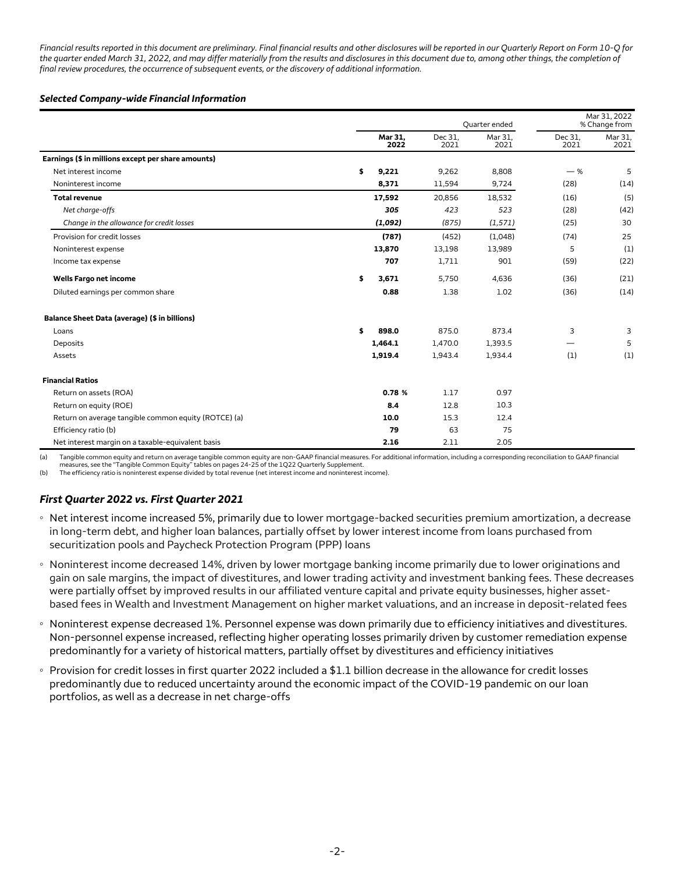Financial results reported in this document are preliminary. Final financial results and other disclosures will be reported in our Quarterly Report on Form 10-Q for the quarter ended March 31, 2022, and may differ materially from the results and disclosures in this document due to, among other things, the completion of  *final review procedures, the occurrence of subsequent events, or the discovery of additional information.*

#### *Selected Company-wide Financial Information*

|                                                      |                 |                 | Quarter ended   | Mar 31, 2022<br>% Change from |                 |  |
|------------------------------------------------------|-----------------|-----------------|-----------------|-------------------------------|-----------------|--|
|                                                      | Mar 31,<br>2022 | Dec 31,<br>2021 | Mar 31,<br>2021 | Dec 31,<br>2021               | Mar 31,<br>2021 |  |
| Earnings (\$ in millions except per share amounts)   |                 |                 |                 |                               |                 |  |
| Net interest income                                  | \$<br>9,221     | 9,262           | 8,808           | $-$ %                         | 5               |  |
| Noninterest income                                   | 8,371           | 11,594          | 9,724           | (28)                          | (14)            |  |
| <b>Total revenue</b>                                 | 17,592          | 20,856          | 18,532          | (16)                          | (5)             |  |
| Net charge-offs                                      | 305             | 423             | 523             | (28)                          | (42)            |  |
| Change in the allowance for credit losses            | (1,092)         | (875)           | (1, 571)        | (25)                          | 30              |  |
| Provision for credit losses                          | (787)           | (452)           | (1,048)         | (74)                          | 25              |  |
| Noninterest expense                                  | 13,870          | 13,198          | 13,989          | 5                             | (1)             |  |
| Income tax expense                                   | 707             | 1,711           | 901             | (59)                          | (22)            |  |
| <b>Wells Fargo net income</b>                        | \$<br>3,671     | 5,750           | 4,636           | (36)                          | (21)            |  |
| Diluted earnings per common share                    | 0.88            | 1.38            | 1.02            | (36)                          | (14)            |  |
| Balance Sheet Data (average) (\$ in billions)        |                 |                 |                 |                               |                 |  |
| Loans                                                | \$<br>898.0     | 875.0           | 873.4           | 3                             | 3               |  |
| Deposits                                             | 1,464.1         | 1,470.0         | 1,393.5         |                               | 5               |  |
| Assets                                               | 1,919.4         | 1,943.4         | 1,934.4         | (1)                           | (1)             |  |
| <b>Financial Ratios</b>                              |                 |                 |                 |                               |                 |  |
| Return on assets (ROA)                               | 0.78 %          | 1.17            | 0.97            |                               |                 |  |
| Return on equity (ROE)                               | 8.4             | 12.8            | 10.3            |                               |                 |  |
| Return on average tangible common equity (ROTCE) (a) | 10.0            | 15.3            | 12.4            |                               |                 |  |
| Efficiency ratio (b)                                 | 79              | 63              | 75              |                               |                 |  |
| Net interest margin on a taxable-equivalent basis    | 2.16            | 2.11            | 2.05            |                               |                 |  |

 (a) Tangible common equity and return on average tangible common equity are non-GAAP financial measures. For additional information, including a corresponding reconciliation to GAAP financial measures, see the "Tangible Common Equity" tables on pages 24-25 of the 1Q22 Quarterly Supplement.

(b) The efficiency ratio is noninterest expense divided by total revenue (net interest income and noninterest income).

- ◦ Net interest income increased 5%, primarily due to lower mortgage-backed securities premium amortization, a decrease in long-term debt, and higher loan balances, partially offset by lower interest income from loans purchased from securitization pools and Paycheck Protection Program (PPP) loans
- ◦ Noninterest income decreased 14%, driven by lower mortgage banking income primarily due to lower originations and gain on sale margins, the impact of divestitures, and lower trading activity and investment banking fees. These decreases were partially offset by improved results in our affiliated venture capital and private equity businesses, higher asset-based fees in Wealth and Investment Management on higher market valuations, and an increase in deposit-related fees
- $\,{}$  Noninterest expense decreased 1%. Personnel expense was down primarily due to efficiency initiatives and divestitures. Non-personnel expense increased, reflecting higher operating losses primarily driven by customer remediation expense predominantly for a variety of historical matters, partially offset by divestitures and efficiency initiatives
- $\,{}$  Provision for credit losses in first quarter 2022 included a \$1.1 billion decrease in the allowance for credit losses predominantly due to reduced uncertainty around the economic impact of the COVID-19 pandemic on our loan portfolios, as well as a decrease in net charge-offs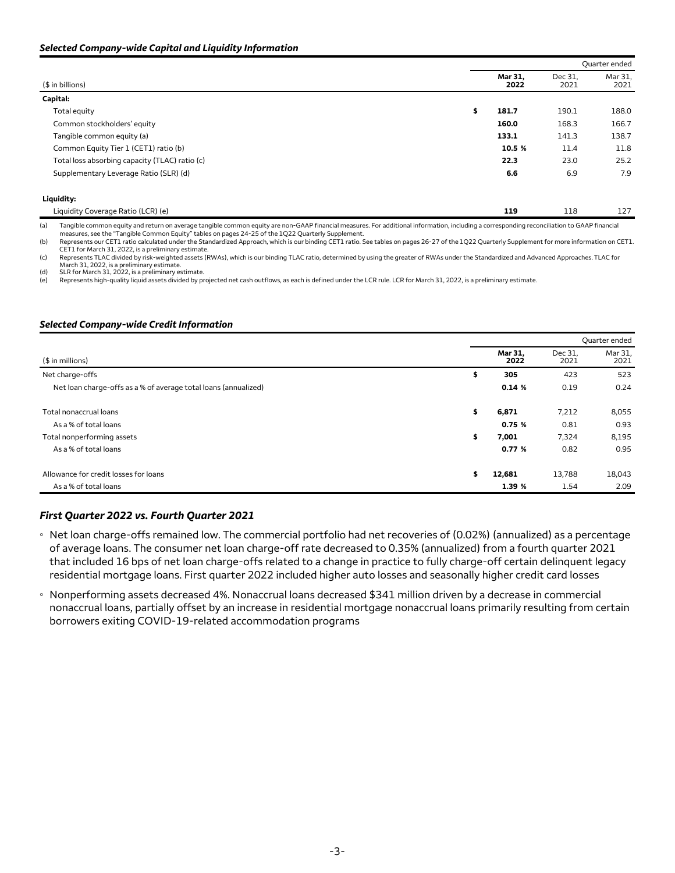#### *Selected Company-wide Capital and Liquidity Information*

|                                                |                 |                 | Quarter ended   |
|------------------------------------------------|-----------------|-----------------|-----------------|
| (\$ in billions)                               | Mar 31,<br>2022 | Dec 31,<br>2021 | Mar 31,<br>2021 |
| Capital:                                       |                 |                 |                 |
| Total equity                                   | \$<br>181.7     | 190.1           | 188.0           |
| Common stockholders' equity                    | 160.0           | 168.3           | 166.7           |
| Tangible common equity (a)                     | 133.1           | 141.3           | 138.7           |
| Common Equity Tier 1 (CET1) ratio (b)          | 10.5 %          | 11.4            | 11.8            |
| Total loss absorbing capacity (TLAC) ratio (c) | 22.3            | 23.0            | 25.2            |
| Supplementary Leverage Ratio (SLR) (d)         | 6.6             | 6.9             | 7.9             |
| Liquidity:                                     |                 |                 |                 |

|     | uauidity<br>Lover:<br>חר<br>d.<br>$\overline{\phantom{0}}$                                                                                                               | . .                                                        | <b>__</b> | - - -<br>-- |
|-----|--------------------------------------------------------------------------------------------------------------------------------------------------------------------------|------------------------------------------------------------|-----------|-------------|
| (a) | .<br>' -GAAP financi<br>e tangible common equity are non-<br>í angible<br>measures<br>Linformation<br>equity and return on average ta<br>: additional :<br>$-0r$<br>mmon | including a corresponding reconciliation to GAAP financial |           |             |

(a) Tangible common equity and return on average tangible common equity are non-GAAP financial measures. For additional information, including a corresponding reconciliation to GAAP financial<br>measures, see the "Tangible Co

(b) Represents our CET1 ratio calculated under the Standardized Approach, which is our binding CET1 ratio. See tables on pages 26-27 of the 1Q22 Quarterly Supplement for more information on CET1.

for March 31,<br>esents TLAC di<br>h 31, 2022, is a CET1 for March 31, 2022, is a preliminary estimate.<br>(c) Represents TLAC divided by risk-weighted assets (RWAs), which is our binding TLAC ratio, determined by using the greater of RWAs under the Standardized and Advanced A

(d) SLR for March 31, 2022, is a preliminary estimate.

(e) Represents high-quality liquid assets divided by projected net cash outflows, as each is defined under the LCR rule. LCR for March 31, 2022, is a preliminary estimate.

#### *Selected Company-wide Credit Information*

|                                                                 |                 |                 | Quarter ended   |
|-----------------------------------------------------------------|-----------------|-----------------|-----------------|
| (\$ in millions)                                                | Mar 31,<br>2022 | Dec 31.<br>2021 | Mar 31,<br>2021 |
| Net charge-offs                                                 | \$<br>305       | 423             | 523             |
| Net loan charge-offs as a % of average total loans (annualized) | 0.14%           | 0.19            | 0.24            |
| Total nonaccrual loans                                          | \$<br>6,871     | 7,212           | 8,055           |
| As a % of total loans                                           | 0.75%           | 0.81            | 0.93            |
| Total nonperforming assets                                      | \$<br>7,001     | 7,324           | 8,195           |
| As a % of total loans                                           | 0.77%           | 0.82            | 0.95            |
| Allowance for credit losses for loans                           | \$<br>12,681    | 13,788          | 18,043          |
| As a % of total loans                                           | 1.39%           | 1.54            | 2.09            |

- ◦ Net loan charge-offs remained low. The commercial portfolio had net recoveries of (0.02%) (annualized) as a percentage of average loans. The consumer net loan charge-off rate decreased to 0.35% (annualized) from a fourth quarter 2021 that included 16 bps of net loan charge-offs related to a change in practice to fully charge-off certain delinquent legacy residential mortgage loans. First quarter 2022 included higher auto losses and seasonally higher credit card losses
- ◦ Nonperforming assets decreased 4%. Nonaccrual loans decreased \$341 million driven by a decrease in commercial nonaccrual loans, partially offset by an increase in residential mortgage nonaccrual loans primarily resulting from certain borrowers exiting COVID-19-related accommodation programs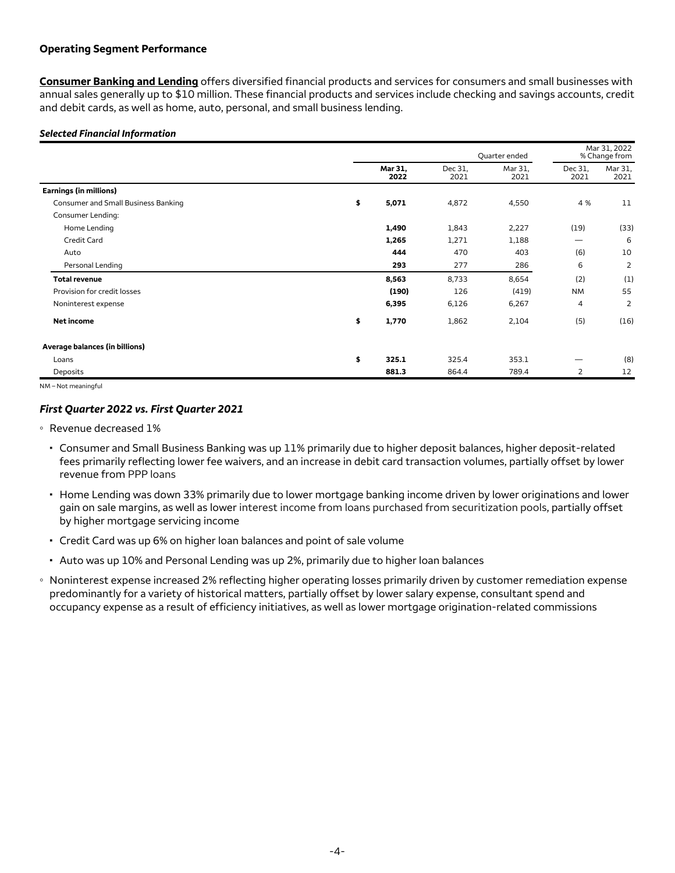## **Operating Segment Performance**

 **Consumer Banking and Lending** offers diversified financial products and services for consumers and small businesses with annual sales generally up to \$10 million. These financial products and services include checking and savings accounts, credit and debit cards, as well as home, auto, personal, and small business lending.

#### *Selected Financial Information*

|                                     |                 |                 | Quarter ended   | Mar 31, 2022<br>% Change from |                 |
|-------------------------------------|-----------------|-----------------|-----------------|-------------------------------|-----------------|
|                                     | Mar 31,<br>2022 | Dec 31,<br>2021 | Mar 31,<br>2021 | Dec 31,<br>2021               | Mar 31,<br>2021 |
| <b>Earnings (in millions)</b>       |                 |                 |                 |                               |                 |
| Consumer and Small Business Banking | \$<br>5,071     | 4,872           | 4,550           | 4 %                           | 11              |
| Consumer Lending:                   |                 |                 |                 |                               |                 |
| Home Lending                        | 1,490           | 1,843           | 2,227           | (19)                          | (33)            |
| Credit Card                         | 1,265           | 1,271           | 1,188           |                               | 6               |
| Auto                                | 444             | 470             | 403             | (6)                           | 10              |
| Personal Lending                    | 293             | 277             | 286             | 6                             | 2               |
| <b>Total revenue</b>                | 8,563           | 8,733           | 8,654           | (2)                           | (1)             |
| Provision for credit losses         | (190)           | 126             | (419)           | <b>NM</b>                     | 55              |
| Noninterest expense                 | 6,395           | 6,126           | 6,267           | $\overline{4}$                | 2               |
| Net income                          | \$<br>1,770     | 1,862           | 2,104           | (5)                           | (16)            |
| Average balances (in billions)      |                 |                 |                 |                               |                 |
| Loans                               | \$<br>325.1     | 325.4           | 353.1           |                               | (8)             |
| Deposits                            | 881.3           | 864.4           | 789.4           | 2                             | 12              |
|                                     |                 |                 |                 |                               |                 |

NM – Not meaningful

- ◦ Revenue decreased 1%
	- $\bullet$  Consumer and Small Business Banking was up  $11\%$  primarily due to higher deposit balances, higher deposit-related fees primarily reflecting lower fee waivers, and an increase in debit card transaction volumes, partially offset by lower revenue from PPP loans
	- ▪ Home Lending was down 33% primarily due to lower mortgage banking income driven by lower originations and lower gain on sale margins, as well as lower interest income from loans purchased from securitization pools, partially offset by higher mortgage servicing income
	- Credit Card was up 6% on higher loan balances and point of sale volume
	- Auto was up 10% and Personal Lending was up 2%, primarily due to higher loan balances
- ◦ Noninterest expense increased 2% reflecting higher operating losses primarily driven by customer remediation expense predominantly for a variety of historical matters, partially offset by lower salary expense, consultant spend and occupancy expense as a result of efficiency initiatives, as well as lower mortgage origination-related commissions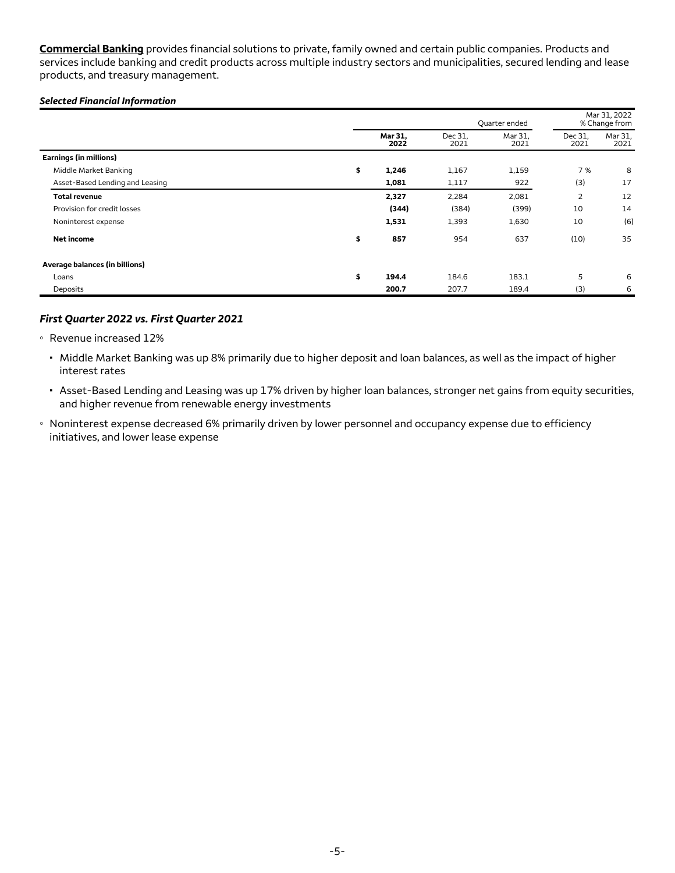**Commercial Banking** provides financial solutions to private, family owned and certain public companies. Products and services include banking and credit products across multiple industry sectors and municipalities, secured lending and lease products, and treasury management.

### *Selected Financial Information*

|                                 |                 |                 | Quarter ended   |                 | Mar 31, 2022<br>% Change from |
|---------------------------------|-----------------|-----------------|-----------------|-----------------|-------------------------------|
|                                 | Mar 31,<br>2022 | Dec 31.<br>2021 | Mar 31,<br>2021 | Dec 31,<br>2021 | Mar 31,<br>2021               |
| <b>Earnings (in millions)</b>   |                 |                 |                 |                 |                               |
| Middle Market Banking           | \$<br>1,246     | 1,167           | 1,159           | 7 %             | 8                             |
| Asset-Based Lending and Leasing | 1,081           | 1,117           | 922             | (3)             | 17                            |
| <b>Total revenue</b>            | 2,327           | 2,284           | 2,081           | 2               | 12                            |
| Provision for credit losses     | (344)           | (384)           | (399)           | 10              | 14                            |
| Noninterest expense             | 1,531           | 1,393           | 1,630           | 10              | (6)                           |
| <b>Net income</b>               | \$<br>857       | 954             | 637             | (10)            | 35                            |
| Average balances (in billions)  |                 |                 |                 |                 |                               |
| Loans                           | \$<br>194.4     | 184.6           | 183.1           | 5               | 6                             |
| Deposits                        | 200.7           | 207.7           | 189.4           | (3)             | 6                             |

- ◦ Revenue increased 12%
	- ▪ Middle Market Banking was up 8% primarily due to higher deposit and loan balances, as well as the impact of higher interest rates
	- ▪ Asset-Based Lending and Leasing was up 17% driven by higher loan balances, stronger net gains from equity securities, and higher revenue from renewable energy investments
- ◦ Noninterest expense decreased 6% primarily driven by lower personnel and occupancy expense due to efficiency initiatives, and lower lease expense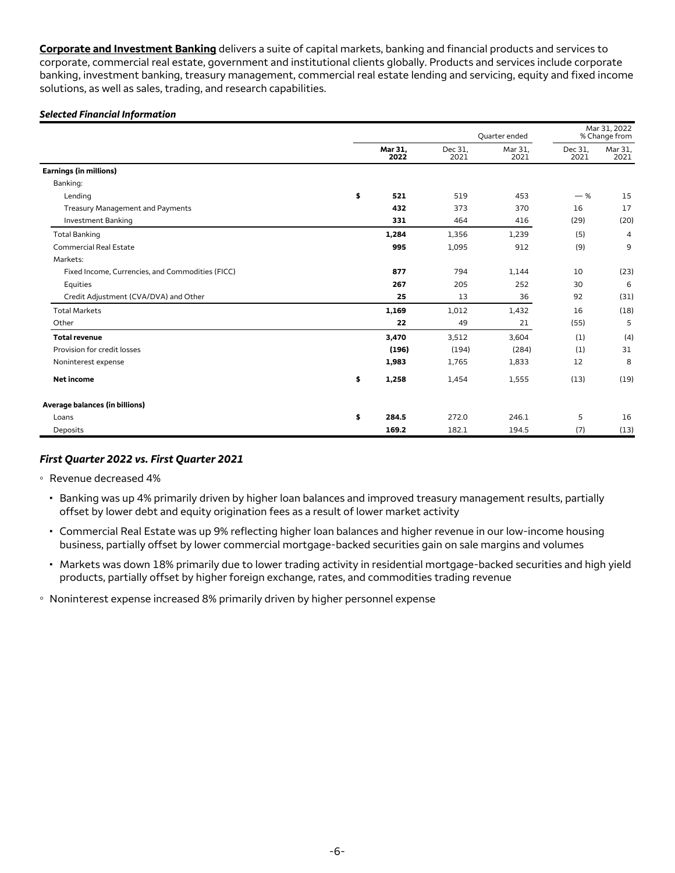**Corporate and Investment Banking** delivers a suite of capital markets, banking and financial products and services to corporate, commercial real estate, government and institutional clients globally. Products and services include corporate banking, investment banking, treasury management, commercial real estate lending and servicing, equity and fixed income solutions, as well as sales, trading, and research capabilities.

#### *Selected Financial Information*

|                                                  |                 |                 | Quarter ended   | Mar 31, 2022<br>% Change from |                 |
|--------------------------------------------------|-----------------|-----------------|-----------------|-------------------------------|-----------------|
|                                                  | Mar 31,<br>2022 | Dec 31,<br>2021 | Mar 31,<br>2021 | Dec 31,<br>2021               | Mar 31,<br>2021 |
| <b>Earnings (in millions)</b>                    |                 |                 |                 |                               |                 |
| Banking:                                         |                 |                 |                 |                               |                 |
| Lending                                          | \$<br>521       | 519             | 453             | $-$ %                         | 15              |
| Treasury Management and Payments                 | 432             | 373             | 370             | 16                            | 17              |
| <b>Investment Banking</b>                        | 331             | 464             | 416             | (29)                          | (20)            |
| <b>Total Banking</b>                             | 1,284           | 1,356           | 1,239           | (5)                           | $\overline{4}$  |
| <b>Commercial Real Estate</b>                    | 995             | 1,095           | 912             | (9)                           | 9               |
| Markets:                                         |                 |                 |                 |                               |                 |
| Fixed Income, Currencies, and Commodities (FICC) | 877             | 794             | 1,144           | 10                            | (23)            |
| Equities                                         | 267             | 205             | 252             | 30                            | 6               |
| Credit Adjustment (CVA/DVA) and Other            | 25              | 13              | 36              | 92                            | (31)            |
| <b>Total Markets</b>                             | 1,169           | 1,012           | 1,432           | 16                            | (18)            |
| Other                                            | 22              | 49              | 21              | (55)                          | 5               |
| <b>Total revenue</b>                             | 3,470           | 3,512           | 3,604           | (1)                           | (4)             |
| Provision for credit losses                      | (196)           | (194)           | (284)           | (1)                           | 31              |
| Noninterest expense                              | 1,983           | 1,765           | 1,833           | 12                            | 8               |
| <b>Net income</b>                                | \$<br>1,258     | 1,454           | 1,555           | (13)                          | (19)            |
| Average balances (in billions)                   |                 |                 |                 |                               |                 |
| Loans                                            | \$<br>284.5     | 272.0           | 246.1           | 5                             | 16              |
| Deposits                                         | 169.2           | 182.1           | 194.5           | (7)                           | (13)            |

# *First Quarter 2022 vs. First Quarter 2021*

◦ Revenue decreased 4%

- ▪ Banking was up 4% primarily driven by higher loan balances and improved treasury management results, partially offset by lower debt and equity origination fees as a result of lower market activity
- ▪ Commercial Real Estate was up 9% reflecting higher loan balances and higher revenue in our low-income housing business, partially offset by lower commercial mortgage-backed securities gain on sale margins and volumes
- ▪ Markets was down 18% primarily due to lower trading activity in residential mortgage-backed securities and high yield products, partially offset by higher foreign exchange, rates, and commodities trading revenue

◦ Noninterest expense increased 8% primarily driven by higher personnel expense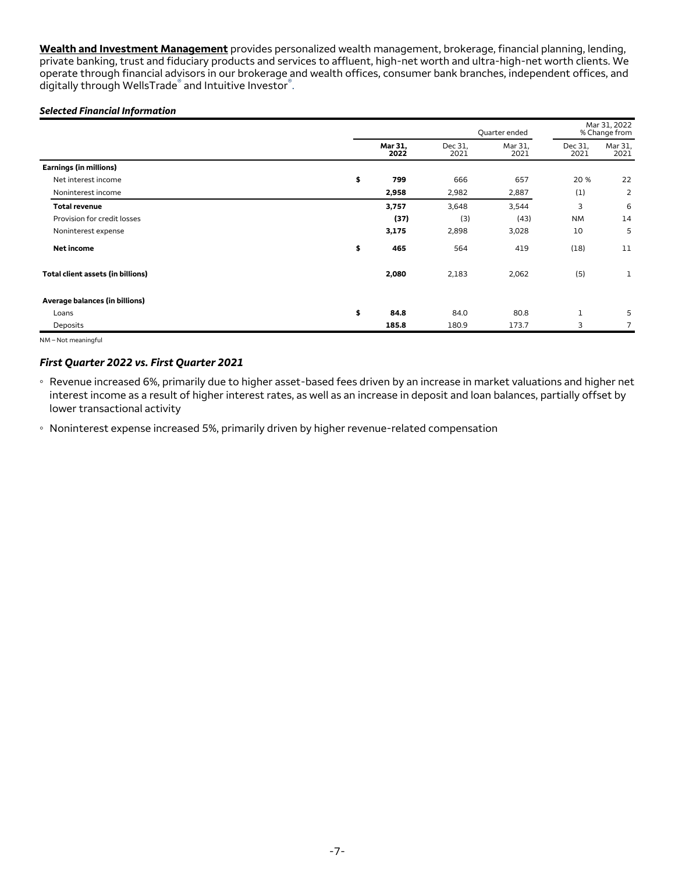**Wealth and Investment Management** provides personalized wealth management, brokerage, financial planning, lending, private banking, trust and fiduciary products and services to affluent, high-net worth and ultra-high-net worth clients. We operate through financial advisors in our brokerage and wealth offices, consumer bank branches, independent offices, and digitally through WellsTrade® and Intuitive Investor® .

#### *Selected Financial Information*

|                                   |                 |                 | Quarter ended   | Mar 31, 2022<br>% Change from |                 |
|-----------------------------------|-----------------|-----------------|-----------------|-------------------------------|-----------------|
|                                   | Mar 31,<br>2022 | Dec 31.<br>2021 | Mar 31,<br>2021 | Dec 31,<br>2021               | Mar 31,<br>2021 |
| <b>Earnings (in millions)</b>     |                 |                 |                 |                               |                 |
| Net interest income               | \$<br>799       | 666             | 657             | 20 %                          | 22              |
| Noninterest income                | 2,958           | 2,982           | 2,887           | (1)                           | 2               |
| <b>Total revenue</b>              | 3,757           | 3,648           | 3,544           | 3                             | 6               |
| Provision for credit losses       | (37)            | (3)             | (43)            | <b>NM</b>                     | 14              |
| Noninterest expense               | 3,175           | 2,898           | 3,028           | 10                            | 5               |
| Net income                        | \$<br>465       | 564             | 419             | (18)                          | 11              |
| Total client assets (in billions) | 2,080           | 2,183           | 2,062           | (5)                           | $\mathbf{1}$    |
| Average balances (in billions)    |                 |                 |                 |                               |                 |
| Loans                             | \$<br>84.8      | 84.0            | 80.8            | $\mathbf 1$                   | 5               |
| Deposits                          | 185.8           | 180.9           | 173.7           | 3                             | 7               |

NM – Not meaningful

- $\,\circ\,$  Revenue increased 6%, primarily due to higher asset-based fees driven by an increase in market valuations and higher net interest income as a result of higher interest rates, as well as an increase in deposit and loan balances, partially offset by lower transactional activity
- Noninterest expense increased 5%, primarily driven by higher revenue-related compensation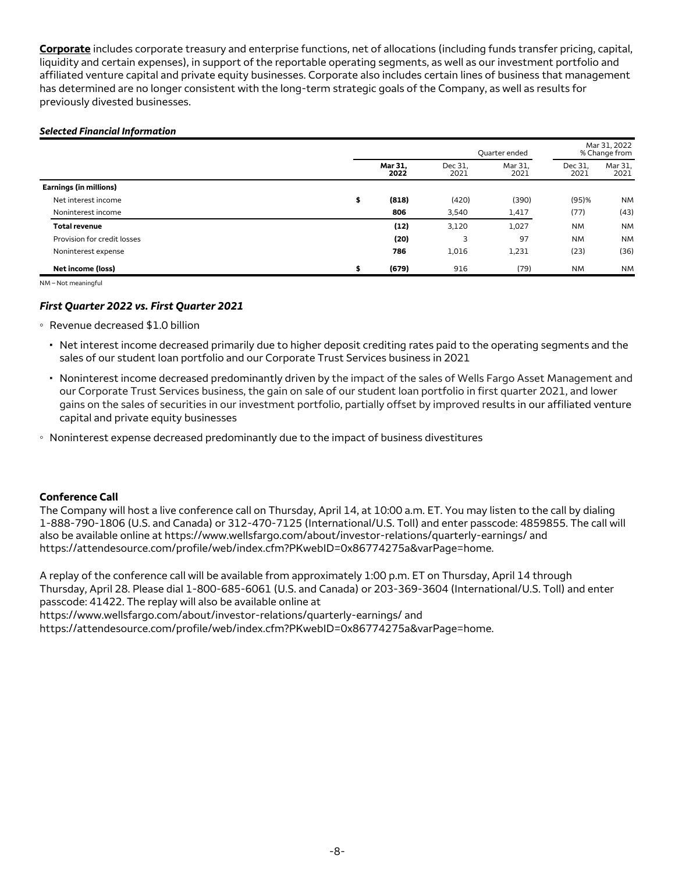**Corporate** includes corporate treasury and enterprise functions, net of allocations (including funds transfer pricing, capital, liquidity and certain expenses), in support of the reportable operating segments, as well as our investment portfolio and affiliated venture capital and private equity businesses. Corporate also includes certain lines of business that management has determined are no longer consistent with the long-term strategic goals of the Company, as well as results for previously divested businesses.

## *Selected Financial Information*

|                               |    |                 |                 | Quarter ended   | Mar 31, 2022<br>% Change from |                 |
|-------------------------------|----|-----------------|-----------------|-----------------|-------------------------------|-----------------|
|                               |    | Mar 31,<br>2022 | Dec 31,<br>2021 | Mar 31,<br>2021 | Dec 31,<br>2021               | Mar 31,<br>2021 |
| <b>Earnings (in millions)</b> |    |                 |                 |                 |                               |                 |
| Net interest income           | \$ | (818)           | (420)           | (390)           | $(95)$ %                      | <b>NM</b>       |
| Noninterest income            |    | 806             | 3,540           | 1,417           | (77)                          | (43)            |
| <b>Total revenue</b>          |    | (12)            | 3,120           | 1,027           | <b>NM</b>                     | <b>NM</b>       |
| Provision for credit losses   |    | (20)            | 3               | 97              | <b>NM</b>                     | <b>NM</b>       |
| Noninterest expense           |    | 786             | 1,016           | 1,231           | (23)                          | (36)            |
| Net income (loss)             |    | (679)           | 916             | (79)            | <b>NM</b>                     | <b>NM</b>       |

NM – Not meaningful

# *First Quarter 2022 vs. First Quarter 2021*

- ◦ Revenue decreased \$1.0 billion
	- ▪ Net interest income decreased primarily due to higher deposit crediting rates paid to the operating segments and the sales of our student loan portfolio and our Corporate Trust Services business in 2021
	- ▪ Noninterest income decreased predominantly driven by the impact of the sales of Wells Fargo Asset Management and our Corporate Trust Services business, the gain on sale of our student loan portfolio in first quarter 2021, and lower gains on the sales of securities in our investment portfolio, partially offset by improved results in our affiliated venture capital and private equity businesses
- Noninterest expense decreased predominantly due to the impact of business divestitures

# **Conference Call**

 The Company will host a live conference call on Thursday, April 14, at 10:00 a.m. ET. You may listen to the call by dialing 1-888-790-1806 (U.S. and Canada) or 312-470-7125 (International/U.S. Toll) and enter passcode: 4859855. The call will also be available online at <https://www.wellsfargo.com/about/investor-relations/quarterly-earnings/> and <https://attendesource.com/profile/web/index.cfm?PKwebID=0x86774275a&varPage=home>.

 A replay of the conference call will be available from approximately 1:00 p.m. ET on Thursday, April 14 through Thursday, April 28. Please dial 1-800-685-6061 (U.S. and Canada) or 203-369-3604 (International/U.S. Toll) and enter passcode: 41422. The replay will also be available online at <https://www.wellsfargo.com/about/investor-relations/quarterly-earnings/> and

<https://attendesource.com/profile/web/index.cfm?PKwebID=0x86774275a&varPage=home>.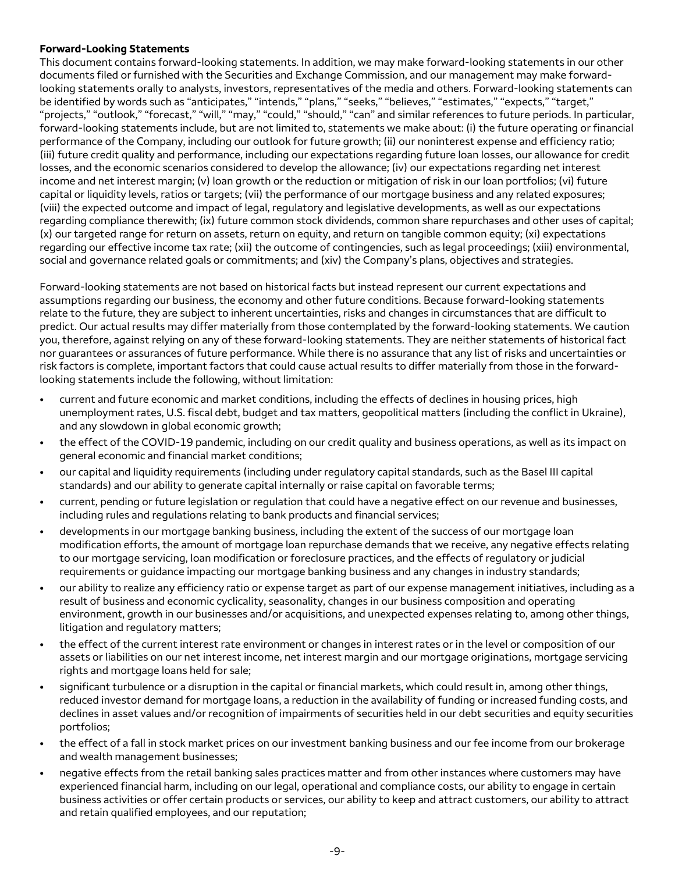## **Forward-Looking Statements**

 This document contains forward-looking statements. In addition, we may make forward-looking statements in our other documents filed or furnished with the Securities and Exchange Commission, and our management may make forward- looking statements orally to analysts, investors, representatives of the media and others. Forward-looking statements can be identified by words such as "anticipates," "intends," "plans," "seeks," "believes," "estimates," "expects," "target," "projects," "outlook," "forecast," "will," "may," "could," "should," "can" and similar references to future periods. In particular, forward-looking statements include, but are not limited to, statements we make about: (i) the future operating or financial performance of the Company, including our outlook for future growth; (ii) our noninterest expense and efficiency ratio; (iii) future credit quality and performance, including our expectations regarding future loan losses, our allowance for credit losses, and the economic scenarios considered to develop the allowance; (iv) our expectations regarding net interest income and net interest margin; (v) loan growth or the reduction or mitigation of risk in our loan portfolios; (vi) future capital or liquidity levels, ratios or targets; (vii) the performance of our mortgage business and any related exposures; (viii) the expected outcome and impact of legal, regulatory and legislative developments, as well as our expectations regarding compliance therewith; (ix) future common stock dividends, common share repurchases and other uses of capital; (x) our targeted range for return on assets, return on equity, and return on tangible common equity; (xi) expectations regarding our effective income tax rate; (xii) the outcome of contingencies, such as legal proceedings; (xiii) environmental, social and governance related goals or commitments; and (xiv) the Company's plans, objectives and strategies.

 Forward-looking statements are not based on historical facts but instead represent our current expectations and assumptions regarding our business, the economy and other future conditions. Because forward-looking statements relate to the future, they are subject to inherent uncertainties, risks and changes in circumstances that are difficult to predict. Our actual results may differ materially from those contemplated by the forward-looking statements. We caution you, therefore, against relying on any of these forward-looking statements. They are neither statements of historical fact nor guarantees or assurances of future performance. While there is no assurance that any list of risks and uncertainties or risk factors is complete, important factors that could cause actual results to differ materially from those in the forward-looking statements include the following, without limitation:

- • current and future economic and market conditions, including the effects of declines in housing prices, high unemployment rates, U.S. fiscal debt, budget and tax matters, geopolitical matters (including the conflict in Ukraine), and any slowdown in global economic growth;
- • the effect of the COVID-19 pandemic, including on our credit quality and business operations, as well as its impact on general economic and financial market conditions;
- • our capital and liquidity requirements (including under regulatory capital standards, such as the Basel III capital standards) and our ability to generate capital internally or raise capital on favorable terms;
- • current, pending or future legislation or regulation that could have a negative effect on our revenue and businesses, including rules and regulations relating to bank products and financial services;
- • developments in our mortgage banking business, including the extent of the success of our mortgage loan modification efforts, the amount of mortgage loan repurchase demands that we receive, any negative effects relating to our mortgage servicing, loan modification or foreclosure practices, and the effects of regulatory or judicial requirements or guidance impacting our mortgage banking business and any changes in industry standards;
- • our ability to realize any efficiency ratio or expense target as part of our expense management initiatives, including as a result of business and economic cyclicality, seasonality, changes in our business composition and operating environment, growth in our businesses and/or acquisitions, and unexpected expenses relating to, among other things, litigation and regulatory matters;
- • the effect of the current interest rate environment or changes in interest rates or in the level or composition of our assets or liabilities on our net interest income, net interest margin and our mortgage originations, mortgage servicing rights and mortgage loans held for sale;
- • significant turbulence or a disruption in the capital or financial markets, which could result in, among other things, reduced investor demand for mortgage loans, a reduction in the availability of funding or increased funding costs, and declines in asset values and/or recognition of impairments of securities held in our debt securities and equity securities portfolios;
- • the effect of a fall in stock market prices on our investment banking business and our fee income from our brokerage and wealth management businesses;
- • negative effects from the retail banking sales practices matter and from other instances where customers may have experienced financial harm, including on our legal, operational and compliance costs, our ability to engage in certain business activities or offer certain products or services, our ability to keep and attract customers, our ability to attract and retain qualified employees, and our reputation;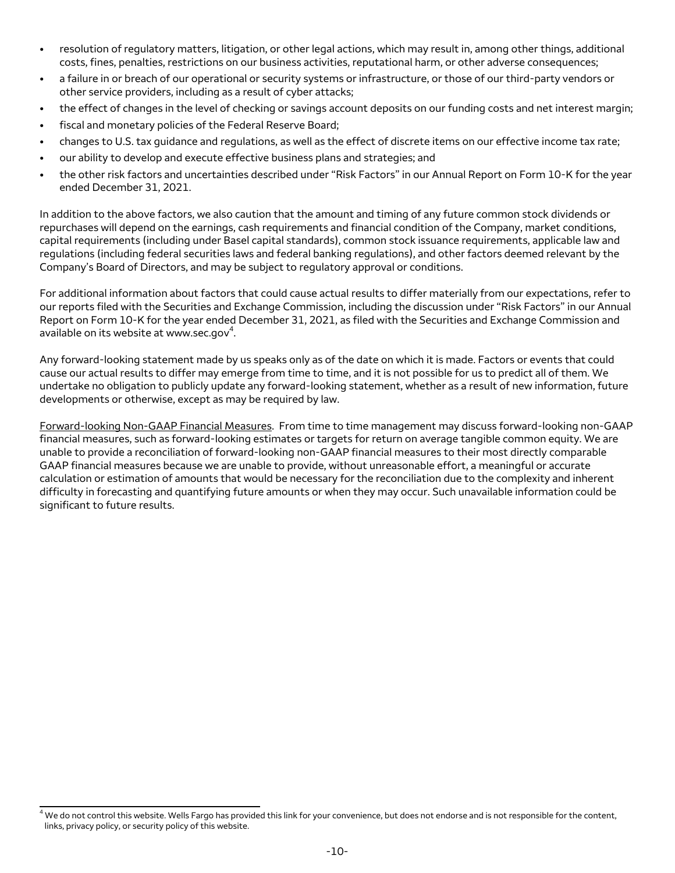- • resolution of regulatory matters, litigation, or other legal actions, which may result in, among other things, additional costs, fines, penalties, restrictions on our business activities, reputational harm, or other adverse consequences;
- • a failure in or breach of our operational or security systems or infrastructure, or those of our third-party vendors or other service providers, including as a result of cyber attacks;
- the effect of changes in the level of checking or savings account deposits on our funding costs and net interest margin;
- fiscal and monetary policies of the Federal Reserve Board;
- changes to U.S. tax guidance and regulations, as well as the effect of discrete items on our effective income tax rate;
- our ability to develop and execute effective business plans and strategies; and
- • the other risk factors and uncertainties described under "Risk Factors" in our Annual Report on Form 10-K for the year ended December 31, 2021.

 In addition to the above factors, we also caution that the amount and timing of any future common stock dividends or repurchases will depend on the earnings, cash requirements and financial condition of the Company, market conditions, capital requirements (including under Basel capital standards), common stock issuance requirements, applicable law and regulations (including federal securities laws and federal banking regulations), and other factors deemed relevant by the Company's Board of Directors, and may be subject to regulatory approval or conditions.

 For additional information about factors that could cause actual results to differ materially from our expectations, refer to our reports filed with the Securities and Exchange Commission, including the discussion under "Risk Factors" in our Annual Report on Form 10-K for the year ended December 31, 2021, as filed with the Securities and Exchange Commission and available on its website at [www.sec.gov](https://www.sec.gov)<sup>4</sup>.

 Any forward-looking statement made by us speaks only as of the date on which it is made. Factors or events that could cause our actual results to differ may emerge from time to time, and it is not possible for us to predict all of them. We undertake no obligation to publicly update any forward-looking statement, whether as a result of new information, future developments or otherwise, except as may be required by law.

 Forward-looking Non-GAAP Financial Measures. From time to time management may discuss forward-looking non-GAAP financial measures, such as forward-looking estimates or targets for return on average tangible common equity. We are unable to provide a reconciliation of forward-looking non-GAAP financial measures to their most directly comparable GAAP financial measures because we are unable to provide, without unreasonable effort, a meaningful or accurate calculation or estimation of amounts that would be necessary for the reconciliation due to the complexity and inherent difficulty in forecasting and quantifying future amounts or when they may occur. Such unavailable information could be significant to future results.

 $^4$  We do not control this website. Wells Fargo has provided this link for your convenience, but does not endorse and is not responsible for the content, links, privacy policy, or security policy of this website.